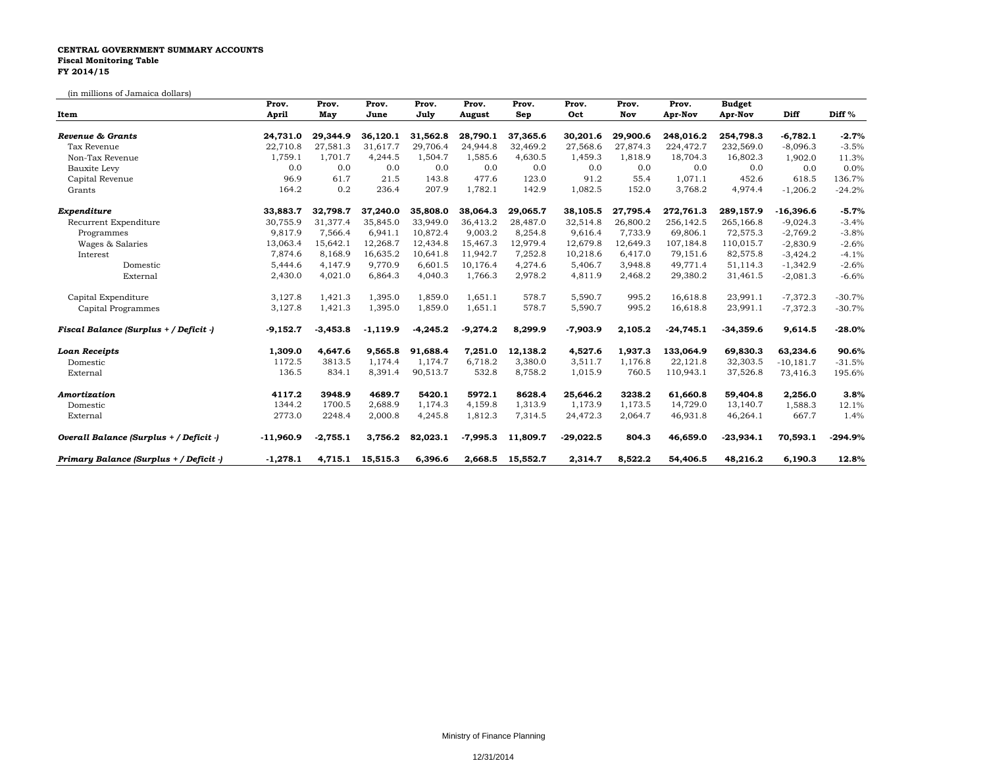## **CENTRAL GOVERNMENT SUMMARY ACCOUNTS Fiscal Monitoring Table FY 2014/15**

## (in millions of Jamaica dollars)

| Item                                    | Prov.<br>April | Prov.<br>May | Prov.<br>June | Prov.<br>July | Prov.<br>August | Prov.<br>Sep | Prov.<br>Oct | Prov.<br>Nov | Prov.<br>Apr-Nov | <b>Budget</b><br>Apr-Nov | Diff        | Diff <sup>%</sup> |
|-----------------------------------------|----------------|--------------|---------------|---------------|-----------------|--------------|--------------|--------------|------------------|--------------------------|-------------|-------------------|
|                                         |                |              |               |               |                 |              |              |              |                  |                          |             |                   |
| Tax Revenue                             | 22,710.8       | 27,581.3     | 31,617.7      | 29,706.4      | 24,944.8        | 32,469.2     | 27,568.6     | 27,874.3     | 224,472.7        | 232,569.0                | $-8,096.3$  | $-3.5%$           |
| Non-Tax Revenue                         | 1,759.1        | 1,701.7      | 4,244.5       | 1,504.7       | 1,585.6         | 4,630.5      | 1,459.3      | 1,818.9      | 18,704.3         | 16,802.3                 | 1,902.0     | 11.3%             |
| Bauxite Levy                            | 0.0            | 0.0          | 0.0           | 0.0           | 0.0             | 0.0          | 0.0          | 0.0          | 0.0              | 0.0                      | 0.0         | 0.0%              |
| Capital Revenue                         | 96.9           | 61.7         | 21.5          | 143.8         | 477.6           | 123.0        | 91.2         | 55.4         | 1,071.1          | 452.6                    | 618.5       | 136.7%            |
| Grants                                  | 164.2          | 0.2          | 236.4         | 207.9         | 1,782.1         | 142.9        | 1,082.5      | 152.0        | 3,768.2          | 4,974.4                  | $-1,206.2$  | $-24.2%$          |
| Expenditure                             | 33,883.7       | 32.798.7     | 37,240.0      | 35,808.0      | 38,064.3        | 29,065.7     | 38,105.5     | 27,795.4     | 272,761.3        | 289,157.9                | -16,396.6   | $-5.7%$           |
| Recurrent Expenditure                   | 30,755.9       | 31,377.4     | 35,845.0      | 33,949.0      | 36,413.2        | 28,487.0     | 32,514.8     | 26,800.2     | 256,142.5        | 265,166.8                | $-9,024.3$  | $-3.4%$           |
| Programmes                              | 9,817.9        | 7,566.4      | 6,941.1       | 10,872.4      | 9,003.2         | 8,254.8      | 9,616.4      | 7,733.9      | 69,806.1         | 72,575.3                 | $-2,769.2$  | $-3.8%$           |
| Wages & Salaries                        | 13,063.4       | 15,642.1     | 12,268.7      | 12,434.8      | 15,467.3        | 12,979.4     | 12,679.8     | 12,649.3     | 107,184.8        | 110,015.7                | $-2,830.9$  | $-2.6%$           |
| Interest                                | 7,874.6        | 8,168.9      | 16,635.2      | 10,641.8      | 11,942.7        | 7,252.8      | 10,218.6     | 6,417.0      | 79,151.6         | 82,575.8                 | $-3,424.2$  | $-4.1%$           |
| Domestic                                | 5,444.6        | 4,147.9      | 9,770.9       | 6,601.5       | 10,176.4        | 4,274.6      | 5,406.7      | 3,948.8      | 49,771.4         | 51,114.3                 | $-1,342.9$  | $-2.6%$           |
| External                                | 2,430.0        | 4,021.0      | 6,864.3       | 4,040.3       | 1,766.3         | 2,978.2      | 4,811.9      | 2,468.2      | 29,380.2         | 31,461.5                 | $-2,081.3$  | $-6.6%$           |
| Capital Expenditure                     | 3,127.8        | 1,421.3      | 1,395.0       | 1,859.0       | 1,651.1         | 578.7        | 5,590.7      | 995.2        | 16,618.8         | 23,991.1                 | $-7,372.3$  | $-30.7%$          |
| Capital Programmes                      | 3,127.8        | 1,421.3      | 1,395.0       | 1,859.0       | 1,651.1         | 578.7        | 5,590.7      | 995.2        | 16,618.8         | 23,991.1                 | $-7,372.3$  | $-30.7%$          |
| Fiscal Balance (Surplus + / Deficit -)  | $-9,152.7$     | $-3,453.8$   | $-1,119.9$    | $-4,245.2$    | $-9,274.2$      | 8,299.9      | $-7,903.9$   | 2,105.2      | $-24,745.1$      | $-34,359.6$              | 9,614.5     | $-28.0%$          |
| <b>Loan Receipts</b>                    | 1,309.0        | 4,647.6      | 9,565.8       | 91,688.4      | 7,251.0         | 12,138.2     | 4,527.6      | 1,937.3      | 133,064.9        | 69,830.3                 | 63,234.6    | 90.6%             |
| Domestic                                | 1172.5         | 3813.5       | 1,174.4       | 1,174.7       | 6,718.2         | 3,380.0      | 3,511.7      | 1,176.8      | 22,121.8         | 32,303.5                 | $-10,181.7$ | $-31.5%$          |
| External                                | 136.5          | 834.1        | 8,391.4       | 90,513.7      | 532.8           | 8,758.2      | 1,015.9      | 760.5        | 110,943.1        | 37,526.8                 | 73,416.3    | 195.6%            |
| Amortization                            | 4117.2         | 3948.9       | 4689.7        | 5420.1        | 5972.1          | 8628.4       | 25,646.2     | 3238.2       | 61,660.8         | 59,404.8                 | 2,256.0     | 3.8%              |
| Domestic                                | 1344.2         | 1700.5       | 2,688.9       | 1,174.3       | 4,159.8         | 1,313.9      | 1,173.9      | 1,173.5      | 14,729.0         | 13,140.7                 | 1,588.3     | 12.1%             |
| External                                | 2773.0         | 2248.4       | 2,000.8       | 4,245.8       | 1,812.3         | 7,314.5      | 24,472.3     | 2,064.7      | 46,931.8         | 46,264.1                 | 667.7       | 1.4%              |
| Overall Balance (Surplus + / Deficit -) | $-11,960.9$    | $-2,755.1$   | 3,756.2       | 82,023.1      | $-7,995.3$      | 11,809.7     | $-29,022.5$  | 804.3        | 46,659.0         | $-23,934.1$              | 70,593.1    | $-294.9%$         |
| Primary Balance (Surplus + / Deficit -) | $-1,278.1$     | 4,715.1      | 15,515.3      | 6,396.6       | 2,668.5         | 15,552.7     | 2,314.7      | 8.522.2      | 54,406.5         | 48,216.2                 | 6,190.3     | 12.8%             |